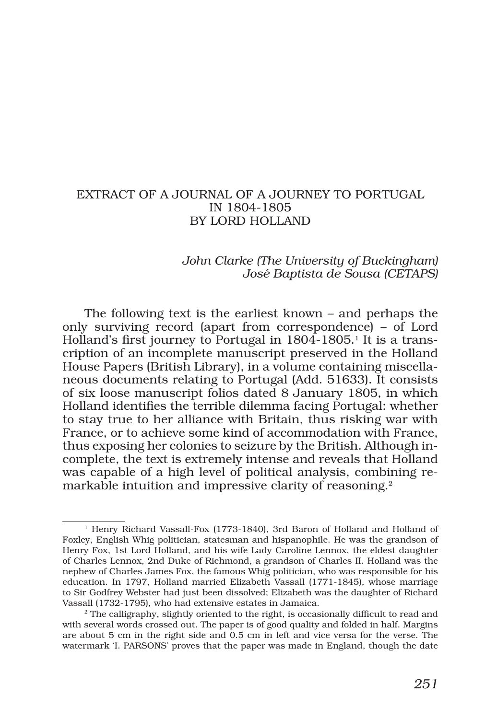### EXTRACT OF A JOURNAL OF A JOURNEY TO PORTUGAL IN 1804-1805 BY LORD HOLLAND

### *John Clarke (The University of Buckingham) José Baptista de Sousa (CETAPS)*

The following text is the earliest known – and perhaps the only surviving record (apart from correspondence) – of Lord Holland's first journey to Portugal in 1804-1805.<sup>1</sup> It is a transcription of an incomplete manuscript preserved in the Holland House Papers (British Library), in a volume containing miscellaneous documents relating to Portugal (Add. 51633). It consists of six loose manuscript folios dated 8 January 1805, in which Holland identifies the terrible dilemma facing Portugal: whether to stay true to her alliance with Britain, thus risking war with France, or to achieve some kind of accommodation with France, thus exposing her colonies to seizure by the British. Although incomplete, the text is extremely intense and reveals that Holland was capable of a high level of political analysis, combining remarkable intuition and impressive clarity of reasoning.<sup>2</sup>

<sup>1</sup> Henry Richard Vassall-Fox (1773-1840), 3rd Baron of Holland and Holland of Foxley, English Whig politician, statesman and hispanophile. He was the grandson of Henry Fox, 1st Lord Holland, and his wife Lady Caroline Lennox, the eldest daughter of Charles Lennox, 2nd Duke of Richmond, a grandson of Charles II. Holland was the nephew of Charles James Fox, the famous Whig politician, who was responsible for his education. In 1797, Holland married Elizabeth Vassall (1771-1845), whose marriage to Sir Godfrey Webster had just been dissolved; Elizabeth was the daughter of Richard Vassall (1732-1795), who had extensive estates in Jamaica.<br><sup>2</sup> The calligraphy, slightly oriented to the right, is occasionally difficult to read and

with several words crossed out. The paper is of good quality and folded in half. Margins are about 5 cm in the right side and 0.5 cm in left and vice versa for the verse. The watermark 'I. PARSONS' proves that the paper was made in England, though the date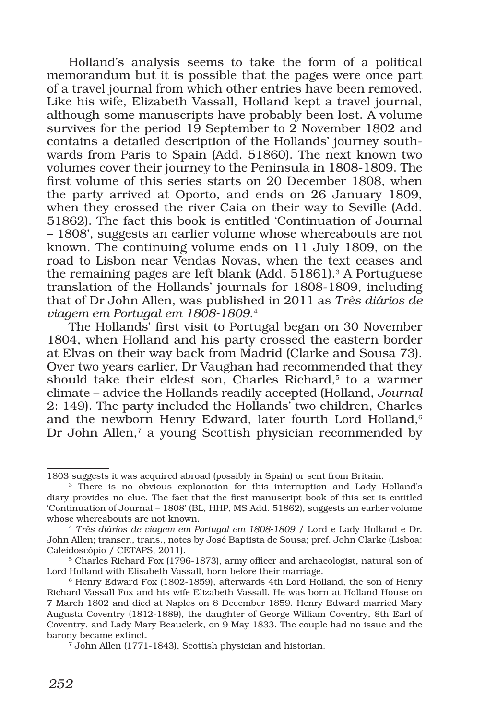Holland's analysis seems to take the form of a political memorandum but it is possible that the pages were once part of a travel journal from which other entries have been removed. Like his wife, Elizabeth Vassall, Holland kept a travel journal, although some manuscripts have probably been lost. A volume survives for the period  $19$  September to 2 November 1802 and contains a detailed description of the Hollands' journey southwards from Paris to Spain (Add. 51860). The next known two volumes cover their journey to the Peninsula in 1808-1809. The first volume of this series starts on 20 December 1808, when the party arrived at Oporto, and ends on 26 January 1809, when they crossed the river Caia on their way to Seville (Add. 51862). The fact this book is entitled 'Continuation of Journal – 1808', suggests an earlier volume whose whereabouts are not known. The continuing volume ends on 11 July 1809, on the road to Lisbon near Vendas Novas, when the text ceases and the remaining pages are left blank (Add. 51861).<sup>3</sup> A Portuguese translation of the Hollands' journals for 1808-1809, including that of Dr John Allen, was published in 2011 as *Três diários de viagem em Portugal em 1808-1809*.4

The Hollands' first visit to Portugal began on 30 November 1804, when Holland and his party crossed the eastern border at Elvas on their way back from Madrid (Clarke and Sousa 73). Over two years earlier, Dr Vaughan had recommended that they should take their eldest son, Charles Richard,<sup>5</sup> to a warmer climate – advice the Hollands readily accepted (Holland, *Journal* 2: 149). The party included the Hollands' two children, Charles and the newborn Henry Edward, later fourth Lord Holland,<sup>6</sup> Dr John Allen,<sup>7</sup> a young Scottish physician recommended by

<sup>1803</sup> suggests it was acquired abroad (possibly in Spain) or sent from Britain.

<sup>&</sup>lt;sup>3</sup> There is no obvious explanation for this interruption and Lady Holland's diary provides no clue. The fact that the first manuscript book of this set is entitled 'Continuation of Journal – 1808' (BL, HHP, MS Add. 51862), suggests an earlier volume whose whereabouts are not known.

<sup>4</sup> *Três diários de viagem em Portugal em 1808-1809* / Lord e Lady Holland e Dr. John Allen; transcr., trans., notes by José Baptista de Sousa; pref. John Clarke (Lisboa: Caleidoscópio / CETAPS, 2011).

<sup>5</sup> Charles Richard Fox (1796-1873), army officer and archaeologist, natural son of Lord Holland with Elisabeth Vassall, born before their marriage.

<sup>6</sup> Henry Edward Fox (1802-1859), afterwards 4th Lord Holland, the son of Henry Richard Vassall Fox and his wife Elizabeth Vassall. He was born at Holland House on 7 March 1802 and died at Naples on 8 December 1859. Henry Edward married Mary Augusta Coventry (1812-1889), the daughter of George William Coventry, 8th Earl of Coventry, and Lady Mary Beauclerk, on 9 May 1833. The couple had no issue and the barony became extinct.

<sup>7</sup> John Allen (1771-1843), Scottish physician and historian.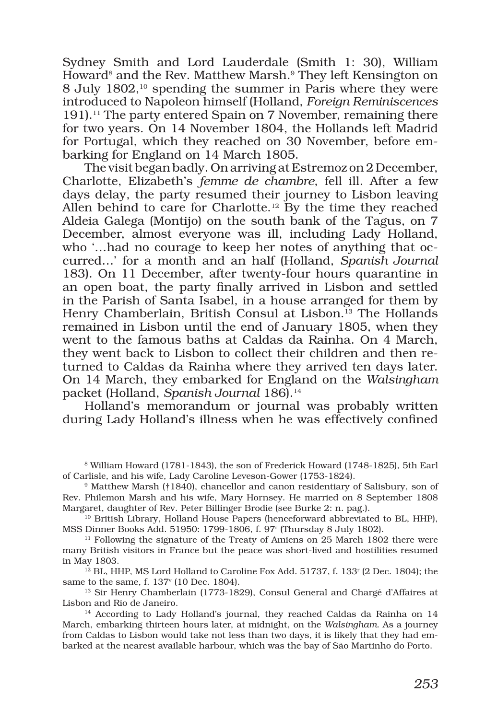Sydney Smith and Lord Lauderdale (Smith 1: 30), William Howard<sup>8</sup> and the Rev. Matthew Marsh.<sup>9</sup> They left Kensington on 8 July 1802,10 spending the summer in Paris where they were introduced to Napoleon himself (Holland, *Foreign Reminiscences*  191).11 The party entered Spain on 7 November, remaining there for two years. On 14 November 1804, the Hollands left Madrid for Portugal, which they reached on 30 November, before embarking for England on 14 March 1805.

The visit began badly. On arriving at Estremoz on 2 December, Charlotte, Elizabeth's *femme de chambre*, fell ill. After a few days delay, the party resumed their journey to Lisbon leaving Allen behind to care for Charlotte.<sup>12</sup> By the time they reached Aldeia Galega (Montijo) on the south bank of the Tagus, on 7 December, almost everyone was ill, including Lady Holland, who '…had no courage to keep her notes of anything that occurred…' for a month and an half (Holland, *Spanish Journal*  183). On 11 December, after twenty-four hours quarantine in an open boat, the party finally arrived in Lisbon and settled in the Parish of Santa Isabel, in a house arranged for them by Henry Chamberlain, British Consul at Lisbon.<sup>13</sup> The Hollands remained in Lisbon until the end of January 1805, when they went to the famous baths at Caldas da Rainha. On 4 March, they went back to Lisbon to collect their children and then returned to Caldas da Rainha where they arrived ten days later. On 14 March, they embarked for England on the *Walsingham* packet (Holland, *Spanish Journal* 186).<sup>14</sup>

Holland's memorandum or journal was probably written during Lady Holland's illness when he was effectively confined

<sup>8</sup> William Howard (1781-1843), the son of Frederick Howard (1748-1825), 5th Earl of Carlisle, and his wife, Lady Caroline Leveson-Gower (1753-1824).

<sup>&</sup>lt;sup>9</sup> Matthew Marsh (†1840), chancellor and canon residentiary of Salisbury, son of Rev. Philemon Marsh and his wife, Mary Hornsey. He married on 8 September 1808 Margaret, daughter of Rev. Peter Billinger Brodie (see Burke 2: n. pag.).

<sup>10</sup> British Library, Holland House Papers (henceforward abbreviated to BL, HHP), MSS Dinner Books Add. 51950: 1799-1806, f. 97r (Thursday 8 July 1802).

<sup>&</sup>lt;sup>11</sup> Following the signature of the Treaty of Amiens on 25 March 1802 there were many British visitors in France but the peace was short-lived and hostilities resumed in May 1803.

 $12$  BL, HHP, MS Lord Holland to Caroline Fox Add. 51737, f. 133<sup>r</sup> (2 Dec. 1804); the same to the same, f. 137v (10 Dec. 1804).

<sup>&</sup>lt;sup>13</sup> Sir Henry Chamberlain (1773-1829), Consul General and Chargé d'Affaires at Lisbon and Rio de Janeiro.

<sup>&</sup>lt;sup>14</sup> According to Lady Holland's journal, they reached Caldas da Rainha on 14 March, embarking thirteen hours later, at midnight, on the *Walsingham*. As a journey from Caldas to Lisbon would take not less than two days, it is likely that they had embarked at the nearest available harbour, which was the bay of São Martinho do Porto.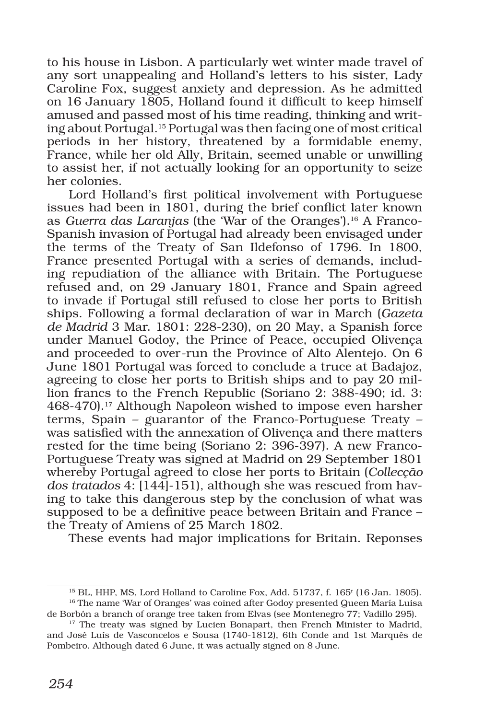to his house in Lisbon. A particularly wet winter made travel of any sort unappealing and Holland's letters to his sister, Lady Caroline Fox, suggest anxiety and depression. As he admitted on 16 January 1805, Holland found it difficult to keep himself amused and passed most of his time reading, thinking and writing about Portugal.15 Portugal was then facing one of most critical periods in her history, threatened by a formidable enemy, France, while her old Ally, Britain, seemed unable or unwilling to assist her, if not actually looking for an opportunity to seize her colonies.

Lord Holland's first political involvement with Portuguese issues had been in 1801, during the brief conflict later known as *Guerra das Laranjas* (the 'War of the Oranges').16 A Franco-Spanish invasion of Portugal had already been envisaged under the terms of the Treaty of San Ildefonso of 1796. In 1800, France presented Portugal with a series of demands, including repudiation of the alliance with Britain. The Portuguese refused and, on 29 January 1801, France and Spain agreed to invade if Portugal still refused to close her ports to British ships. Following a formal declaration of war in March (*Gazeta de Madrid* 3 Mar. 1801: 228-230), on 20 May, a Spanish force under Manuel Godoy, the Prince of Peace, occupied Olivença and proceeded to over-run the Province of Alto Alentejo. On 6 June 1801 Portugal was forced to conclude a truce at Badajoz, agreeing to close her ports to British ships and to pay 20 million francs to the French Republic (Soriano 2: 388-490; id. 3: 468-470).<sup>17</sup> Although Napoleon wished to impose even harsher terms, Spain – guarantor of the Franco-Portuguese Treaty – was satisfied with the annexation of Olivença and there matters rested for the time being (Soriano 2: 396-397). A new Franco-Portuguese Treaty was signed at Madrid on 29 September 1801 whereby Portugal agreed to close her ports to Britain (*Collecção dos tratados* 4: [144]-151), although she was rescued from having to take this dangerous step by the conclusion of what was supposed to be a definitive peace between Britain and France – the Treaty of Amiens of 25 March 1802.

These events had major implications for Britain. Reponses

 $^{15}$  BL, HHP, MS, Lord Holland to Caroline Fox, Add. 51737, f. 165<sup>r</sup> (16 Jan. 1805).

<sup>&</sup>lt;sup>16</sup> The name 'War of Oranges' was coined after Godoy presented Queen María Luisa de Borbón a branch of orange tree taken from Elvas (see Montenegro 77; Vadillo 295).

<sup>&</sup>lt;sup>17</sup> The treaty was signed by Lucien Bonapart, then French Minister to Madrid, and José Luís de Vasconcelos e Sousa (1740-1812), 6th Conde and 1st Marquês de Pombeiro. Although dated 6 June, it was actually signed on 8 June.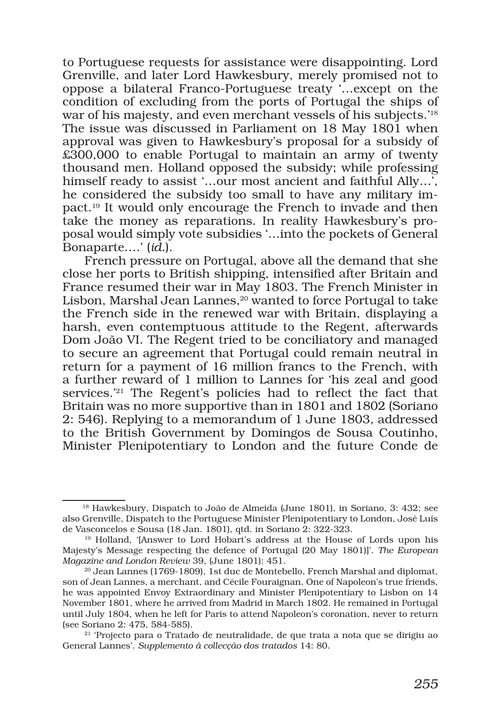to Portuguese requests for assistance were disappointing. Lord Grenville, and later Lord Hawkesbury, merely promised not to oppose a bilateral Franco-Portuguese treaty '…except on the condition of excluding from the ports of Portugal the ships of war of his majesty, and even merchant vessels of his subjects.<sup>18</sup> The issue was discussed in Parliament on 18 May 1801 when approval was given to Hawkesbury's proposal for a subsidy of £300,000 to enable Portugal to maintain an army of twenty thousand men. Holland opposed the subsidy; while professing himself ready to assist '...our most ancient and faithful Ally...', he considered the subsidy too small to have any military impact.19 It would only encourage the French to invade and then take the money as reparations. In reality Hawkesbury's proposal would simply vote subsidies '…into the pockets of General Bonaparte….' (*id.*).

French pressure on Portugal, above all the demand that she close her ports to British shipping, intensified after Britain and France resumed their war in May 1803. The French Minister in Lisbon, Marshal Jean Lannes,<sup>20</sup> wanted to force Portugal to take the French side in the renewed war with Britain, displaying a harsh, even contemptuous attitude to the Regent, afterwards Dom João VI. The Regent tried to be conciliatory and managed to secure an agreement that Portugal could remain neutral in return for a payment of 16 million francs to the French, with a further reward of 1 million to Lannes for 'his zeal and good services.'21 The Regent's policies had to reflect the fact that Britain was no more supportive than in 1801 and 1802 (Soriano 2: 546). Replying to a memorandum of 1 June 1803, addressed to the British Government by Domingos de Sousa Coutinho, Minister Plenipotentiary to London and the future Conde de

<sup>&</sup>lt;sup>18</sup> Hawkesbury, Dispatch to João de Almeida (June 1801), in Soriano, 3: 432; see also Grenville, Dispatch to the Portuguese Minister Plenipotentiary to London, José Luís de Vasconcelos e Sousa (18 Jan. 1801), qtd. in Soriano 2: 322-323.

<sup>&</sup>lt;sup>19</sup> Holland, '[Answer to Lord Hobart's address at the House of Lords upon his Majesty's Message respecting the defence of Portugal (20 May 1801)]'. *The European Magazine and London Review* 39, (June 1801): 451.

 $20$  Jean Lannes (1769-1809), 1st duc de Montebello, French Marshal and diplomat, son of Jean Lannes, a merchant, and Cécile Fouraignan. One of Napoleon's true friends, he was appointed Envoy Extraordinary and Minister Plenipotentiary to Lisbon on 14 November 1801, where he arrived from Madrid in March 1802. He remained in Portugal until July 1804, when he left for Paris to attend Napoleon's coronation, never to return (see Soriano 2: 475, 584-585).

<sup>21 &#</sup>x27;Projecto para o Tratado de neutralidade, de que trata a nota que se dirigiu ao General Lannes'. *Supplemento á collecção dos tratados* 14: 80.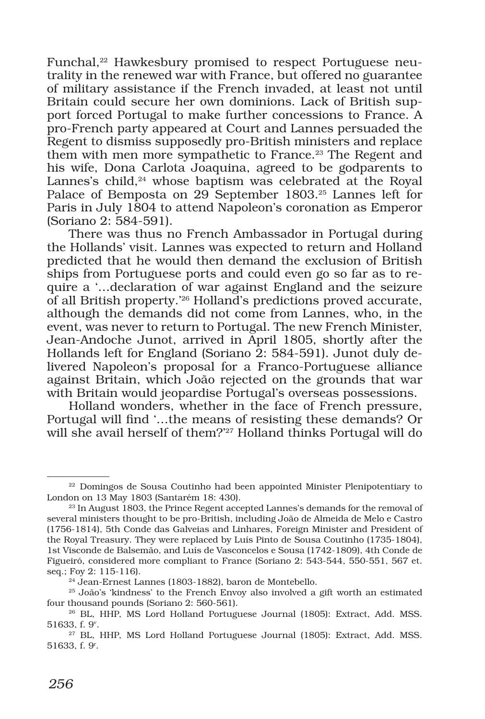Funchal,<sup>22</sup> Hawkesbury promised to respect Portuguese neutrality in the renewed war with France, but offered no guarantee of military assistance if the French invaded, at least not until Britain could secure her own dominions. Lack of British support forced Portugal to make further concessions to France. A pro-French party appeared at Court and Lannes persuaded the Regent to dismiss supposedly pro-British ministers and replace them with men more sympathetic to France.23 The Regent and his wife, Dona Carlota Joaquina, agreed to be godparents to Lannes's child,<sup>24</sup> whose baptism was celebrated at the Royal Palace of Bemposta on 29 September 1803.25 Lannes left for Paris in July 1804 to attend Napoleon's coronation as Emperor (Soriano 2: 584-591).

There was thus no French Ambassador in Portugal during the Hollands' visit. Lannes was expected to return and Holland predicted that he would then demand the exclusion of British ships from Portuguese ports and could even go so far as to require a '…declaration of war against England and the seizure of all British property.'26 Holland's predictions proved accurate, although the demands did not come from Lannes, who, in the event, was never to return to Portugal. The new French Minister, Jean-Andoche Junot, arrived in April 1805, shortly after the Hollands left for England (Soriano 2: 584-591). Junot duly delivered Napoleon's proposal for a Franco-Portuguese alliance against Britain, which João rejected on the grounds that war with Britain would jeopardise Portugal's overseas possessions.

Holland wonders, whether in the face of French pressure, Portugal will find '…the means of resisting these demands? Or will she avail herself of them?'<sup>27</sup> Holland thinks Portugal will do

<sup>&</sup>lt;sup>22</sup> Domingos de Sousa Coutinho had been appointed Minister Plenipotentiary to London on 13 May 1803 (Santarém 18: 430).

<sup>&</sup>lt;sup>23</sup> In August 1803, the Prince Regent accepted Lannes's demands for the removal of several ministers thought to be pro-British, including João de Almeida de Melo e Castro (1756-1814), 5th Conde das Galveias and Linhares, Foreign Minister and President of the Royal Treasury. They were replaced by Luís Pinto de Sousa Coutinho (1735-1804), 1st Visconde de Balsemão, and Luís de Vasconcelos e Sousa (1742-1809), 4th Conde de Figueiró, considered more compliant to France (Soriano 2: 543-544, 550-551, 567 et. seq.; Foy 2: 115-116).

<sup>24</sup> Jean-Ernest Lannes (1803-1882), baron de Montebello.

<sup>25</sup> João's 'kindness' to the French Envoy also involved a gift worth an estimated four thousand pounds (Soriano 2: 560-561).

<sup>26</sup> BL, HHP, MS Lord Holland Portuguese Journal (1805): Extract, Add. MSS. 51633, f. 9v .

<sup>27</sup> BL, HHP, MS Lord Holland Portuguese Journal (1805): Extract, Add. MSS. 51633, f. 9r .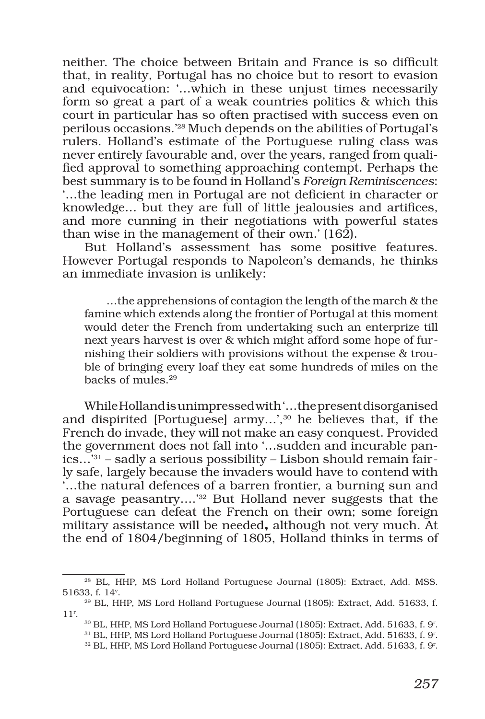neither. The choice between Britain and France is so difficult that, in reality, Portugal has no choice but to resort to evasion and equivocation: '…which in these unjust times necessarily form so great a part of a weak countries politics & which this court in particular has so often practised with success even on perilous occasions.'28 Much depends on the abilities of Portugal's rulers. Holland's estimate of the Portuguese ruling class was never entirely favourable and, over the years, ranged from qualified approval to something approaching contempt. Perhaps the best summary is to be found in Holland's *Foreign Reminiscences*: '…the leading men in Portugal are not deficient in character or knowledge… but they are full of little jealousies and artifices, and more cunning in their negotiations with powerful states than wise in the management of their own.' (162).

But Holland's assessment has some positive features. However Portugal responds to Napoleon's demands, he thinks an immediate invasion is unlikely:

…the apprehensions of contagion the length of the march & the famine which extends along the frontier of Portugal at this moment would deter the French from undertaking such an enterprize till next years harvest is over & which might afford some hope of furnishing their soldiers with provisions without the expense & trouble of bringing every loaf they eat some hundreds of miles on the backs of mules.29

While Holland is unimpressed with '…the present disorganised and dispirited [Portuguese] army...',<sup>30</sup> he believes that, if the French do invade, they will not make an easy conquest. Provided the government does not fall into '…sudden and incurable panics…'31 – sadly a serious possibility – Lisbon should remain fairly safe, largely because the invaders would have to contend with '…the natural defences of a barren frontier, a burning sun and a savage peasantry….'32 But Holland never suggests that the Portuguese can defeat the French on their own; some foreign military assistance will be needed**,** although not very much. At the end of 1804/beginning of 1805, Holland thinks in terms of

<sup>28</sup> BL, HHP, MS Lord Holland Portuguese Journal (1805): Extract, Add. MSS. 51633, f. 14v .

<sup>29</sup> BL, HHP, MS Lord Holland Portuguese Journal (1805): Extract, Add. 51633, f. 11r .

 $^{30}$  BL, HHP, MS Lord Holland Portuguese Journal (1805): Extract, Add. 51633, f. 9<sup>r</sup>.

 $^{31}$  BL, HHP, MS Lord Holland Portuguese Journal (1805): Extract, Add. 51633, f. 9<sup>r</sup>.

 $^{32}$  BL, HHP, MS Lord Holland Portuguese Journal (1805): Extract, Add. 51633, f. 9<sup>r</sup>.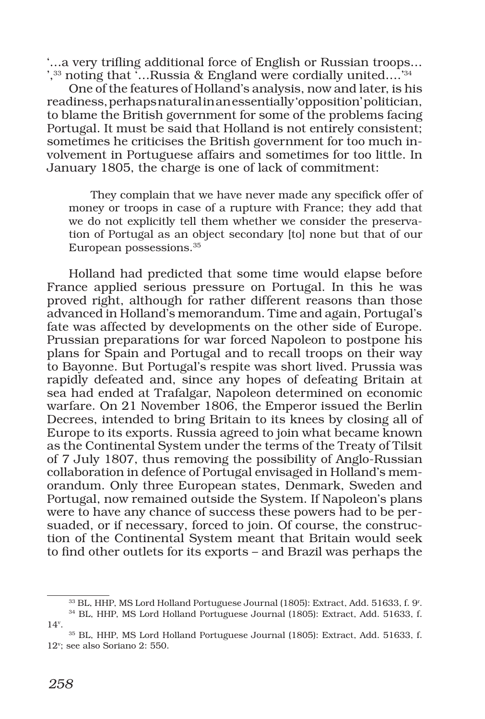'…a very trifling additional force of English or Russian troops… ',33 noting that '…Russia & England were cordially united….'34

One of the features of Holland's analysis, now and later, is his readiness, perhaps natural in an essentially 'opposition' politician, to blame the British government for some of the problems facing Portugal. It must be said that Holland is not entirely consistent; sometimes he criticises the British government for too much involvement in Portuguese affairs and sometimes for too little. In January 1805, the charge is one of lack of commitment:

They complain that we have never made any specifick offer of money or troops in case of a rupture with France; they add that we do not explicitly tell them whether we consider the preservation of Portugal as an object secondary [to] none but that of our European possessions.35

Holland had predicted that some time would elapse before France applied serious pressure on Portugal. In this he was proved right, although for rather different reasons than those advanced in Holland's memorandum. Time and again, Portugal's fate was affected by developments on the other side of Europe. Prussian preparations for war forced Napoleon to postpone his plans for Spain and Portugal and to recall troops on their way to Bayonne. But Portugal's respite was short lived. Prussia was rapidly defeated and, since any hopes of defeating Britain at sea had ended at Trafalgar, Napoleon determined on economic warfare. On 21 November 1806, the Emperor issued the Berlin Decrees, intended to bring Britain to its knees by closing all of Europe to its exports. Russia agreed to join what became known as the Continental System under the terms of the Treaty of Tilsit of 7 July 1807, thus removing the possibility of Anglo-Russian collaboration in defence of Portugal envisaged in Holland's memorandum. Only three European states, Denmark, Sweden and Portugal, now remained outside the System. If Napoleon's plans were to have any chance of success these powers had to be persuaded, or if necessary, forced to join. Of course, the construction of the Continental System meant that Britain would seek to find other outlets for its exports – and Brazil was perhaps the

 $^{33}$  BL, HHP, MS Lord Holland Portuguese Journal (1805): Extract, Add. 51633, f. 9<sup>r</sup>.

<sup>34</sup> BL, HHP, MS Lord Holland Portuguese Journal (1805): Extract, Add. 51633, f. 14v .

<sup>35</sup> BL, HHP, MS Lord Holland Portuguese Journal (1805): Extract, Add. 51633, f. 12v ; see also Soriano 2: 550.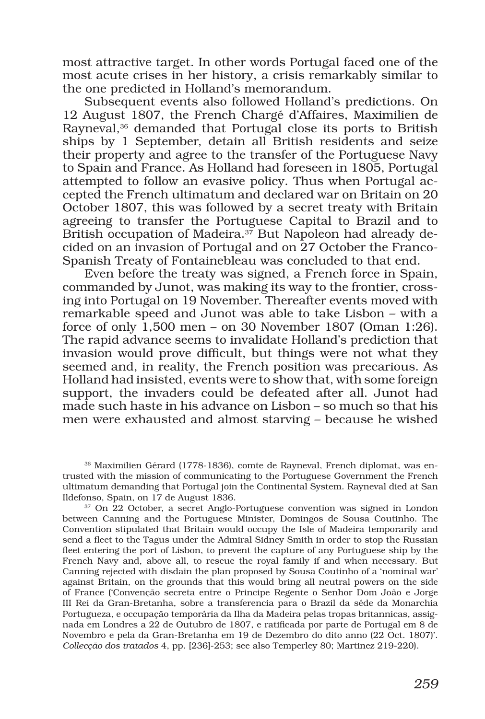most attractive target. In other words Portugal faced one of the most acute crises in her history, a crisis remarkably similar to the one predicted in Holland's memorandum.

Subsequent events also followed Holland's predictions. On 12 August 1807, the French Chargé d'Affaires, Maximilien de Rayneval,<sup>36</sup> demanded that Portugal close its ports to British ships by 1 September, detain all British residents and seize their property and agree to the transfer of the Portuguese Navy to Spain and France. As Holland had foreseen in 1805, Portugal attempted to follow an evasive policy. Thus when Portugal accepted the French ultimatum and declared war on Britain on 20 October 1807, this was followed by a secret treaty with Britain agreeing to transfer the Portuguese Capital to Brazil and to British occupation of Madeira.<sup>37</sup> But Napoleon had already decided on an invasion of Portugal and on 27 October the Franco-Spanish Treaty of Fontainebleau was concluded to that end.

Even before the treaty was signed, a French force in Spain, commanded by Junot, was making its way to the frontier, crossing into Portugal on 19 November. Thereafter events moved with remarkable speed and Junot was able to take Lisbon – with a force of only 1,500 men – on 30 November 1807 (Oman 1:26). The rapid advance seems to invalidate Holland's prediction that invasion would prove difficult, but things were not what they seemed and, in reality, the French position was precarious. As Holland had insisted, events were to show that, with some foreign support, the invaders could be defeated after all. Junot had made such haste in his advance on Lisbon – so much so that his men were exhausted and almost starving – because he wished

<sup>36</sup> Maximilien Gérard (1778-1836), comte de Rayneval, French diplomat, was entrusted with the mission of communicating to the Portuguese Government the French ultimatum demanding that Portugal join the Continental System. Rayneval died at San Ildefonso, Spain, on 17 de August 1836.

<sup>37</sup> On 22 October, a secret Anglo-Portuguese convention was signed in London between Canning and the Portuguese Minister, Domingos de Sousa Coutinho. The Convention stipulated that Britain would occupy the Isle of Madeira temporarily and send a fleet to the Tagus under the Admiral Sidney Smith in order to stop the Russian fleet entering the port of Lisbon, to prevent the capture of any Portuguese ship by the French Navy and, above all, to rescue the royal family if and when necessary. But Canning rejected with disdain the plan proposed by Sousa Coutinho of a 'nominal war' against Britain, on the grounds that this would bring all neutral powers on the side of France ('Convenção secreta entre o Principe Regente o Senhor Dom João e Jorge III Rei da Gran-Bretanha, sobre a transferencia para o Brazil da séde da Monarchia Portugueza, e occupação temporária da Ilha da Madeira pelas tropas britannicas, assignada em Londres a 22 de Outubro de 1807, e ratificada por parte de Portugal em 8 de Novembro e pela da Gran-Bretanha em 19 de Dezembro do dito anno (22 Oct. 1807)'. *Collecção dos tratados* 4, pp. [236]-253; see also Temperley 80; Martinez 219-220).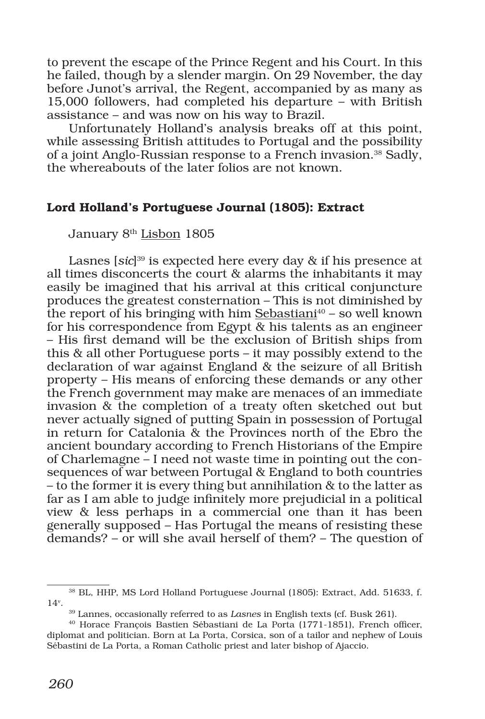to prevent the escape of the Prince Regent and his Court. In this he failed, though by a slender margin. On 29 November, the day before Junot's arrival, the Regent, accompanied by as many as 15,000 followers, had completed his departure – with British assistance – and was now on his way to Brazil.

Unfortunately Holland's analysis breaks off at this point, while assessing British attitudes to Portugal and the possibility of a joint Anglo-Russian response to a French invasion.38 Sadly, the whereabouts of the later folios are not known.

# Lord Holland's Portuguese Journal (1805): Extract

January 8<sup>th</sup> Lisbon 1805

Lasnes [*sic*] 39 is expected here every day & if his presence at all times disconcerts the court & alarms the inhabitants it may easily be imagined that his arrival at this critical conjuncture produces the greatest consternation – This is not diminished by the report of his bringing with him Sebastiani<sup>40</sup> – so well known for his correspondence from Egypt  $\&$  his talents as an engineer – His first demand will be the exclusion of British ships from this & all other Portuguese ports – it may possibly extend to the declaration of war against England & the seizure of all British property – His means of enforcing these demands or any other the French government may make are menaces of an immediate invasion & the completion of a treaty often sketched out but never actually signed of putting Spain in possession of Portugal in return for Catalonia & the Provinces north of the Ebro the ancient boundary according to French Historians of the Empire of Charlemagne – I need not waste time in pointing out the consequences of war between Portugal & England to both countries – to the former it is every thing but annihilation & to the latter as far as I am able to judge infinitely more prejudicial in a political view & less perhaps in a commercial one than it has been generally supposed – Has Portugal the means of resisting these demands? – or will she avail herself of them? – The question of

<sup>38</sup> BL, HHP, MS Lord Holland Portuguese Journal (1805): Extract, Add. 51633, f. 14v .

<sup>39</sup> Lannes, occasionally referred to as *Lasnes* in English texts (cf. Busk 261).

<sup>40</sup> Horace François Bastien Sébastiani de La Porta (1771-1851), French officer, diplomat and politician. Born at La Porta, Corsica, son of a tailor and nephew of Louis Sébastini de La Porta, a Roman Catholic priest and later bishop of Ajaccio.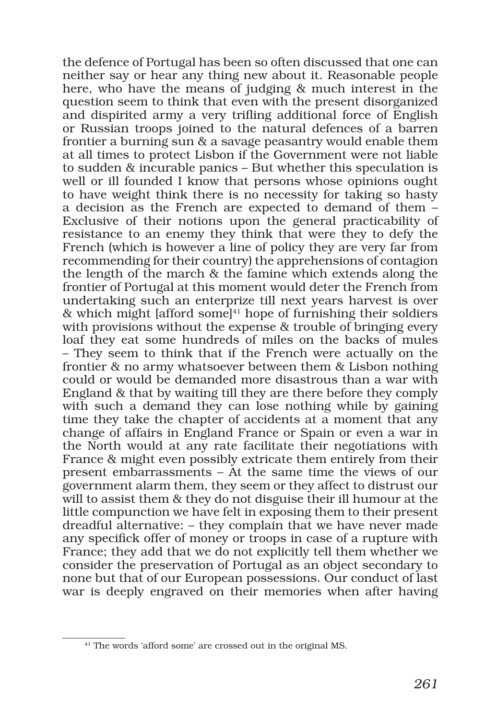the defence of Portugal has been so often discussed that one can neither say or hear any thing new about it. Reasonable people here, who have the means of judging & much interest in the question seem to think that even with the present disorganized and dispirited army a very trifling additional force of English or Russian troops joined to the natural defences of a barren frontier a burning sun & a savage peasantry would enable them at all times to protect Lisbon if the Government were not liable to sudden & incurable panics – But whether this speculation is well or ill founded I know that persons whose opinions ought to have weight think there is no necessity for taking so hasty a decision as the French are expected to demand of them – Exclusive of their notions upon the general practicability of resistance to an enemy they think that were they to defy the French (which is however a line of policy they are very far from recommending for their country) the apprehensions of contagion the length of the march & the famine which extends along the frontier of Portugal at this moment would deter the French from undertaking such an enterprize till next years harvest is over & which might [afford some] $41$  hope of furnishing their soldiers with provisions without the expense & trouble of bringing every loaf they eat some hundreds of miles on the backs of mules – They seem to think that if the French were actually on the frontier & no army whatsoever between them & Lisbon nothing could or would be demanded more disastrous than a war with England & that by waiting till they are there before they comply with such a demand they can lose nothing while by gaining time they take the chapter of accidents at a moment that any change of affairs in England France or Spain or even a war in the North would at any rate facilitate their negotiations with France & might even possibly extricate them entirely from their present embarrassments – At the same time the views of our government alarm them, they seem or they affect to distrust our will to assist them & they do not disguise their ill humour at the little compunction we have felt in exposing them to their present dreadful alternative: – they complain that we have never made any specifick offer of money or troops in case of a rupture with France; they add that we do not explicitly tell them whether we consider the preservation of Portugal as an object secondary to none but that of our European possessions. Our conduct of last war is deeply engraved on their memories when after having

<sup>&</sup>lt;sup>41</sup> The words 'afford some' are crossed out in the original MS.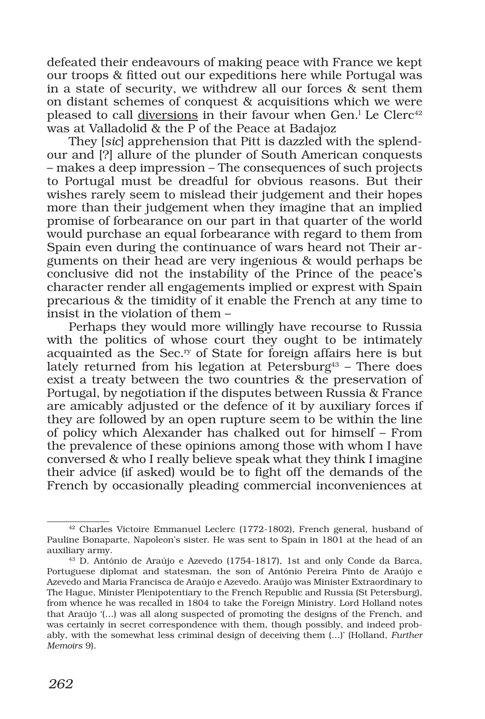defeated their endeavours of making peace with France we kept our troops & fitted out our expeditions here while Portugal was in a state of security, we withdrew all our forces & sent them on distant schemes of conquest & acquisitions which we were pleased to call diversions in their favour when Gen.<sup>1</sup> Le Clerc<sup>42</sup> was at Valladolid & the P of the Peace at Badajoz

They [*sic*] apprehension that Pitt is dazzled with the splendour and [?] allure of the plunder of South American conquests – makes a deep impression – The consequences of such projects to Portugal must be dreadful for obvious reasons. But their wishes rarely seem to mislead their judgement and their hopes more than their judgement when they imagine that an implied promise of forbearance on our part in that quarter of the world would purchase an equal forbearance with regard to them from Spain even during the continuance of wars heard not Their arguments on their head are very ingenious & would perhaps be conclusive did not the instability of the Prince of the peace's character render all engagements implied or exprest with Spain precarious & the timidity of it enable the French at any time to insist in the violation of them –

Perhaps they would more willingly have recourse to Russia with the politics of whose court they ought to be intimately acquainted as the Sec.<sup>ry</sup> of State for foreign affairs here is but lately returned from his legation at Petersburg<sup>43</sup> – There does exist a treaty between the two countries & the preservation of Portugal, by negotiation if the disputes between Russia & France are amicably adjusted or the defence of it by auxiliary forces if they are followed by an open rupture seem to be within the line of policy which Alexander has chalked out for himself – From the prevalence of these opinions among those with whom I have conversed & who I really believe speak what they think I imagine their advice (if asked) would be to fight off the demands of the French by occasionally pleading commercial inconveniences at

<sup>42</sup> Charles Victoire Emmanuel Leclerc (1772-1802), French general, husband of Pauline Bonaparte, Napoleon's sister. He was sent to Spain in 1801 at the head of an auxiliary army.

<sup>43</sup> D. António de Araújo e Azevedo (1754-1817), 1st and only Conde da Barca, Portuguese diplomat and statesman, the son of António Pereira Pinto de Araújo e Azevedo and Maria Francisca de Araújo e Azevedo. Araújo was Minister Extraordinary to The Hague, Minister Plenipotentiary to the French Republic and Russia (St Petersburg), from whence he was recalled in 1804 to take the Foreign Ministry. Lord Holland notes that Araújo '(…) was all along suspected of promoting the designs of the French, and was certainly in secret correspondence with them, though possibly, and indeed probably, with the somewhat less criminal design of deceiving them (…)' (Holland, *Further Memoirs* 9).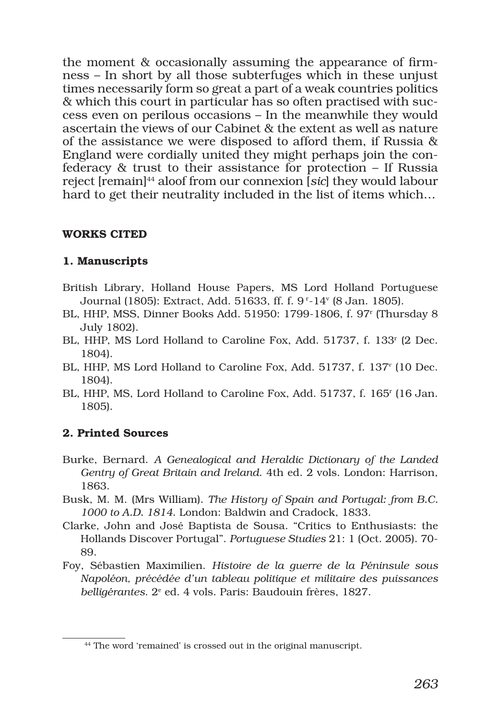the moment & occasionally assuming the appearance of firmness – In short by all those subterfuges which in these unjust times necessarily form so great a part of a weak countries politics & which this court in particular has so often practised with success even on perilous occasions – In the meanwhile they would ascertain the views of our Cabinet & the extent as well as nature of the assistance we were disposed to afford them, if Russia & England were cordially united they might perhaps join the confederacy & trust to their assistance for protection – If Russia reject [remain]44 aloof from our connexion [*sic*] they would labour hard to get their neutrality included in the list of items which…

### WORKS CITED

# 1. Manuscripts

- British Library, Holland House Papers, MS Lord Holland Portuguese Journal (1805): Extract, Add. 51633, ff. f. 9 r-14v (8 Jan. 1805).
- BL, HHP, MSS, Dinner Books Add. 51950: 1799-1806, f. 97r (Thursday 8 July 1802).
- BL, HHP, MS Lord Holland to Caroline Fox, Add. 51737, f. 133r (2 Dec. 1804).
- BL, HHP, MS Lord Holland to Caroline Fox, Add. 51737, f. 137<sup>v</sup> (10 Dec. 1804).
- BL, HHP, MS, Lord Holland to Caroline Fox, Add. 51737, f. 165r (16 Jan. 1805).

# 2. Printed Sources

- Burke, Bernard. *A Genealogical and Heraldic Dictionary of the Landed Gentry of Great Britain and Ireland*. 4th ed. 2 vols. London: Harrison, 1863.
- Busk, M. M. (Mrs William). *The History of Spain and Portugal: from B.C. 1000 to A.D. 1814*. London: Baldwin and Cradock, 1833.
- Clarke, John and José Baptista de Sousa. "Critics to Enthusiasts: the Hollands Discover Portugal". *Portuguese Studies* 21: 1 (Oct. 2005). 70- 89.
- Foy, Sébastien Maximilien. *Histoire de la guerre de la Péninsule sous Napoléon, précédée d'un tableau politique et militaire des puissances*  belligérantes. 2<sup>e</sup> ed. 4 vols. Paris: Baudouin frères, 1827.

<sup>44</sup> The word 'remained' is crossed out in the original manuscript.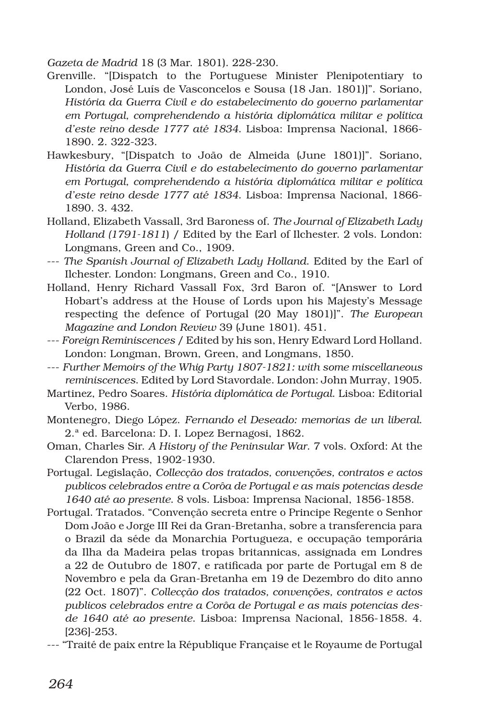*Gazeta de Madrid* 18 (3 Mar. 1801). 228-230.

- Grenville. "[Dispatch to the Portuguese Minister Plenipotentiary to London, José Luís de Vasconcelos e Sousa (18 Jan. 1801)]". Soriano, *História da Guerra Civil e do estabelecimento do governo parlamentar em Portugal, comprehendendo a história diplomática militar e política d'este reino desde 1777 até 1834*. Lisboa: Imprensa Nacional, 1866- 1890. 2. 322-323.
- Hawkesbury, "[Dispatch to João de Almeida (June 1801)]". Soriano, *História da Guerra Civil e do estabelecimento do governo parlamentar em Portugal, comprehendendo a história diplomática militar e política d'este reino desde 1777 até 1834*. Lisboa: Imprensa Nacional, 1866- 1890. 3. 432.
- Holland, Elizabeth Vassall, 3rd Baroness of. *The Journal of Elizabeth Lady Holland (1791-1811*) / Edited by the Earl of Ilchester. 2 vols. London: Longmans, Green and Co., 1909.
- --- *The Spanish Journal of Elizabeth Lady Holland*. Edited by the Earl of Ilchester. London: Longmans, Green and Co., 1910.
- Holland, Henry Richard Vassall Fox, 3rd Baron of. "[Answer to Lord Hobart's address at the House of Lords upon his Majesty's Message respecting the defence of Portugal (20 May 1801)]". *The European Magazine and London Review* 39 (June 1801). 451.
- --- *Foreign Reminiscences* / Edited by his son, Henry Edward Lord Holland. London: Longman, Brown, Green, and Longmans, 1850.
- --- *Further Memoirs of the Whig Party 1807-1821: with some miscellaneous reminiscences*. Edited by Lord Stavordale. London: John Murray, 1905.
- Martinez, Pedro Soares. *História diplomática de Portugal*. Lisboa: Editorial Verbo, 1986.
- Montenegro, Diego López. *Fernando el Deseado: memorias de un liberal*. 2.ª ed. Barcelona: D. I. Lopez Bernagosi, 1862.
- Oman, Charles Sir. *A History of the Peninsular War*. 7 vols. Oxford: At the Clarendon Press, 1902-1930.
- Portugal. Legislação, *Collecção dos tratados, convenções, contratos e actos publicos celebrados entre a Corôa de Portugal e as mais potencias desde 1640 até ao presente*. 8 vols. Lisboa: Imprensa Nacional, 1856-1858.
- Portugal. Tratados. "Convenção secreta entre o Principe Regente o Senhor Dom João e Jorge III Rei da Gran-Bretanha, sobre a transferencia para o Brazil da séde da Monarchia Portugueza, e occupação temporária da Ilha da Madeira pelas tropas britannicas, assignada em Londres a 22 de Outubro de 1807, e ratificada por parte de Portugal em 8 de Novembro e pela da Gran-Bretanha em 19 de Dezembro do dito anno (22 Oct. 1807)". *Collecção dos tratados, convenções, contratos e actos publicos celebrados entre a Corôa de Portugal e as mais potencias desde 1640 até ao presente*. Lisboa: Imprensa Nacional, 1856-1858. 4. [236]-253.
- --- "Traité de paix entre la République Française et le Royaume de Portugal